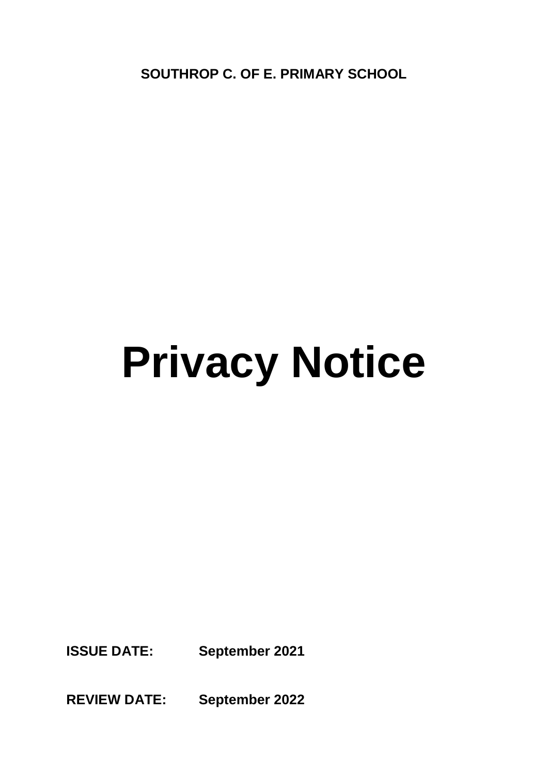**SOUTHROP C. OF E. PRIMARY SCHOOL**

# **Privacy Notice**

**ISSUE DATE: September 2021**

**REVIEW DATE: September 2022**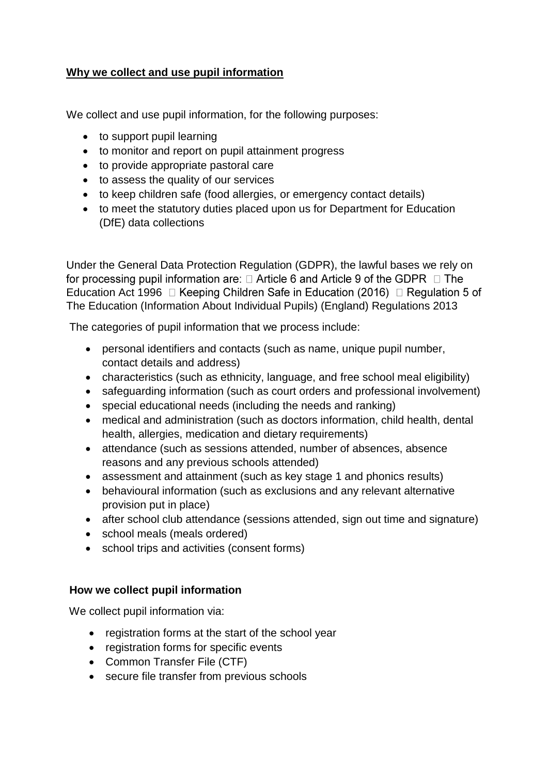# **Why we collect and use pupil information**

We collect and use pupil information, for the following purposes:

- to support pupil learning
- to monitor and report on pupil attainment progress
- to provide appropriate pastoral care
- to assess the quality of our services
- to keep children safe (food allergies, or emergency contact details)
- to meet the statutory duties placed upon us for Department for Education (DfE) data collections

Under the General Data Protection Regulation (GDPR), the lawful bases we rely on for processing pupil information are:  $\Box$  Article 6 and Article 9 of the GDPR  $\Box$  The Education Act 1996  $\Box$  Keeping Children Safe in Education (2016)  $\Box$  Regulation 5 of The Education (Information About Individual Pupils) (England) Regulations 2013

The categories of pupil information that we process include:

- personal identifiers and contacts (such as name, unique pupil number, contact details and address)
- characteristics (such as ethnicity, language, and free school meal eligibility)
- safeguarding information (such as court orders and professional involvement)
- special educational needs (including the needs and ranking)
- medical and administration (such as doctors information, child health, dental health, allergies, medication and dietary requirements)
- attendance (such as sessions attended, number of absences, absence reasons and any previous schools attended)
- assessment and attainment (such as key stage 1 and phonics results)
- behavioural information (such as exclusions and any relevant alternative provision put in place)
- after school club attendance (sessions attended, sign out time and signature)
- school meals (meals ordered)
- school trips and activities (consent forms)

## **How we collect pupil information**

We collect pupil information via:

- registration forms at the start of the school year
- registration forms for specific events
- Common Transfer File (CTF)
- secure file transfer from previous schools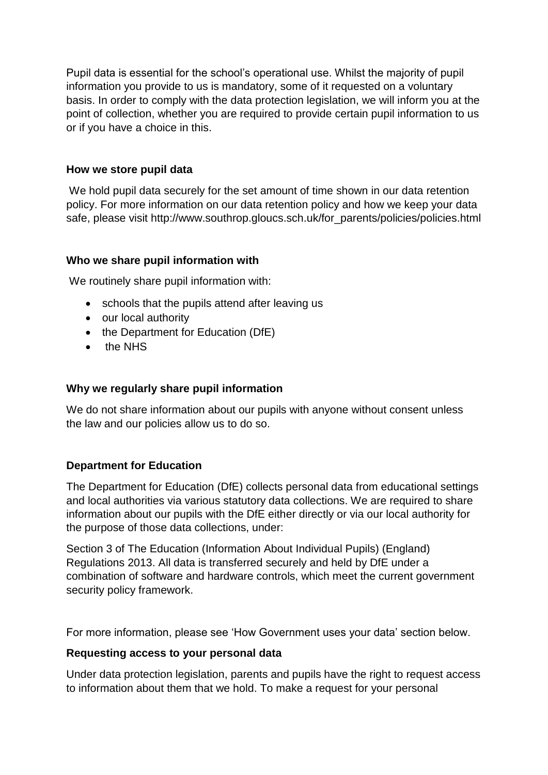Pupil data is essential for the school's operational use. Whilst the majority of pupil information you provide to us is mandatory, some of it requested on a voluntary basis. In order to comply with the data protection legislation, we will inform you at the point of collection, whether you are required to provide certain pupil information to us or if you have a choice in this.

## **How we store pupil data**

We hold pupil data securely for the set amount of time shown in our data retention policy. For more information on our data retention policy and how we keep your data safe, please visit http://www.southrop.gloucs.sch.uk/for\_parents/policies/policies.html

### **Who we share pupil information with**

We routinely share pupil information with:

- schools that the pupils attend after leaving us
- our local authority
- the Department for Education (DfE)
- the NHS

#### **Why we regularly share pupil information**

We do not share information about our pupils with anyone without consent unless the law and our policies allow us to do so.

#### **Department for Education**

The Department for Education (DfE) collects personal data from educational settings and local authorities via various statutory data collections. We are required to share information about our pupils with the DfE either directly or via our local authority for the purpose of those data collections, under:

Section 3 of The Education (Information About Individual Pupils) (England) Regulations 2013. All data is transferred securely and held by DfE under a combination of software and hardware controls, which meet the current government security policy framework.

For more information, please see 'How Government uses your data' section below.

#### **Requesting access to your personal data**

Under data protection legislation, parents and pupils have the right to request access to information about them that we hold. To make a request for your personal